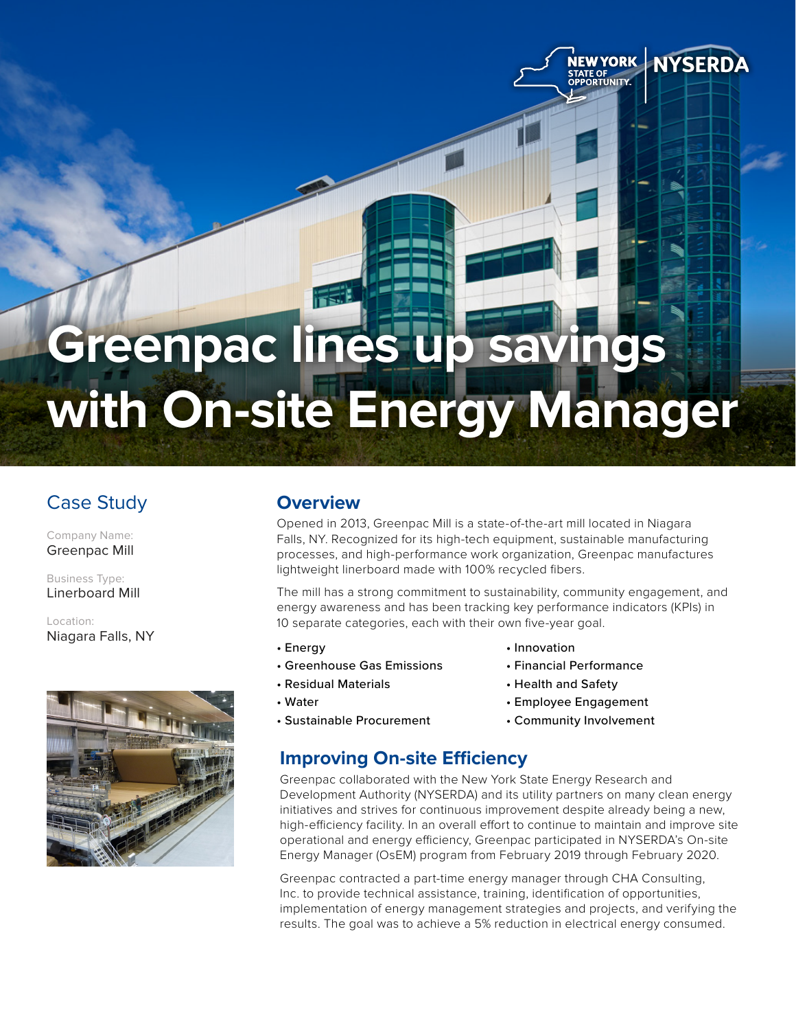# **Greenpac lines up savings with On-site Energy Manager**

# Case Study

Company Name: Greenpac Mill

Business Type: Linerboard Mill

Location: Niagara Falls, NY



### **Overview**

Opened in 2013, Greenpac Mill is a state-of-the-art mill located in Niagara Falls, NY. Recognized for its high-tech equipment, sustainable manufacturing processes, and high-performance work organization, Greenpac manufactures lightweight linerboard made with 100% recycled fibers.

The mill has a strong commitment to sustainability, community engagement, and energy awareness and has been tracking key performance indicators (KPIs) in 10 separate categories, each with their own five-year goal.

- Energy
- Greenhouse Gas Emissions

• Sustainable Procurement

- Residual Materials
- Water
- Innovation
- Financial Performance

NEWYORK NYSERDA

TATE OF THE TATE OF

- Health and Safety
- Employee Engagement
- Community Involvement

### **Improving On-site Efficiency**

Greenpac collaborated with the New York State Energy Research and Development Authority (NYSERDA) and its utility partners on many clean energy initiatives and strives for continuous improvement despite already being a new, high-efficiency facility. In an overall effort to continue to maintain and improve site operational and energy efficiency, Greenpac participated in NYSERDA's On-site Energy Manager (OsEM) program from February 2019 through February 2020.

Greenpac contracted a part-time energy manager through CHA Consulting, Inc. to provide technical assistance, training, identification of opportunities, implementation of energy management strategies and projects, and verifying the results. The goal was to achieve a 5% reduction in electrical energy consumed.